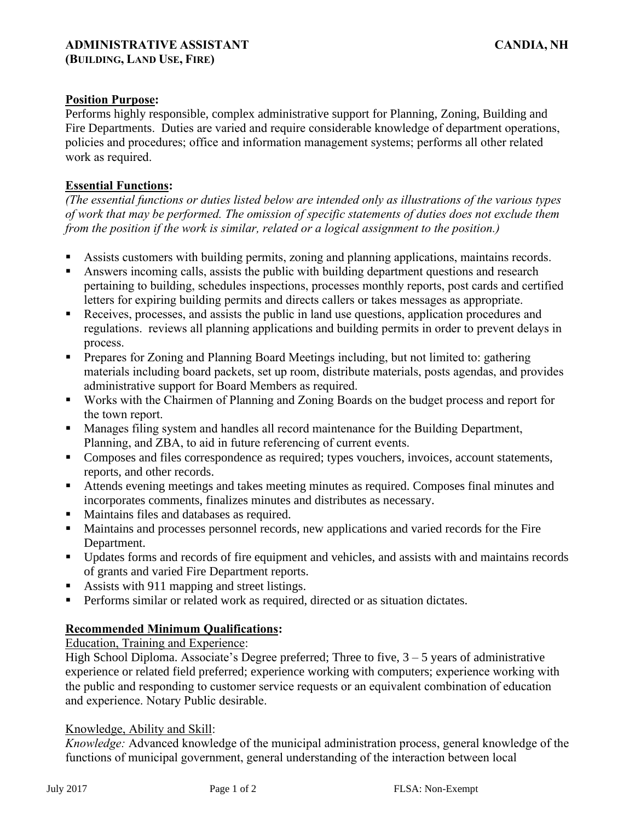## **Position Purpose:**

Performs highly responsible, complex administrative support for Planning, Zoning, Building and Fire Departments. Duties are varied and require considerable knowledge of department operations, policies and procedures; office and information management systems; performs all other related work as required.

### **Essential Functions:**

*(The essential functions or duties listed below are intended only as illustrations of the various types of work that may be performed. The omission of specific statements of duties does not exclude them from the position if the work is similar, related or a logical assignment to the position.)*

- Assists customers with building permits, zoning and planning applications, maintains records.
- Answers incoming calls, assists the public with building department questions and research pertaining to building, schedules inspections, processes monthly reports, post cards and certified letters for expiring building permits and directs callers or takes messages as appropriate.
- Receives, processes, and assists the public in land use questions, application procedures and regulations. reviews all planning applications and building permits in order to prevent delays in process.
- **•** Prepares for Zoning and Planning Board Meetings including, but not limited to: gathering materials including board packets, set up room, distribute materials, posts agendas, and provides administrative support for Board Members as required.
- Works with the Chairmen of Planning and Zoning Boards on the budget process and report for the town report.
- **■** Manages filing system and handles all record maintenance for the Building Department, Planning, and ZBA, to aid in future referencing of current events.
- Composes and files correspondence as required; types vouchers, invoices, account statements, reports, and other records.
- Attends evening meetings and takes meeting minutes as required. Composes final minutes and incorporates comments, finalizes minutes and distributes as necessary.
- Maintains files and databases as required.
- Maintains and processes personnel records, new applications and varied records for the Fire Department.
- Updates forms and records of fire equipment and vehicles, and assists with and maintains records of grants and varied Fire Department reports.
- Assists with 911 mapping and street listings.
- Performs similar or related work as required, directed or as situation dictates.

# **Recommended Minimum Qualifications:**

#### Education, Training and Experience:

High School Diploma. Associate's Degree preferred; Three to five,  $3 - 5$  years of administrative experience or related field preferred; experience working with computers; experience working with the public and responding to customer service requests or an equivalent combination of education and experience. Notary Public desirable.

#### Knowledge, Ability and Skill:

*Knowledge:* Advanced knowledge of the municipal administration process, general knowledge of the functions of municipal government, general understanding of the interaction between local